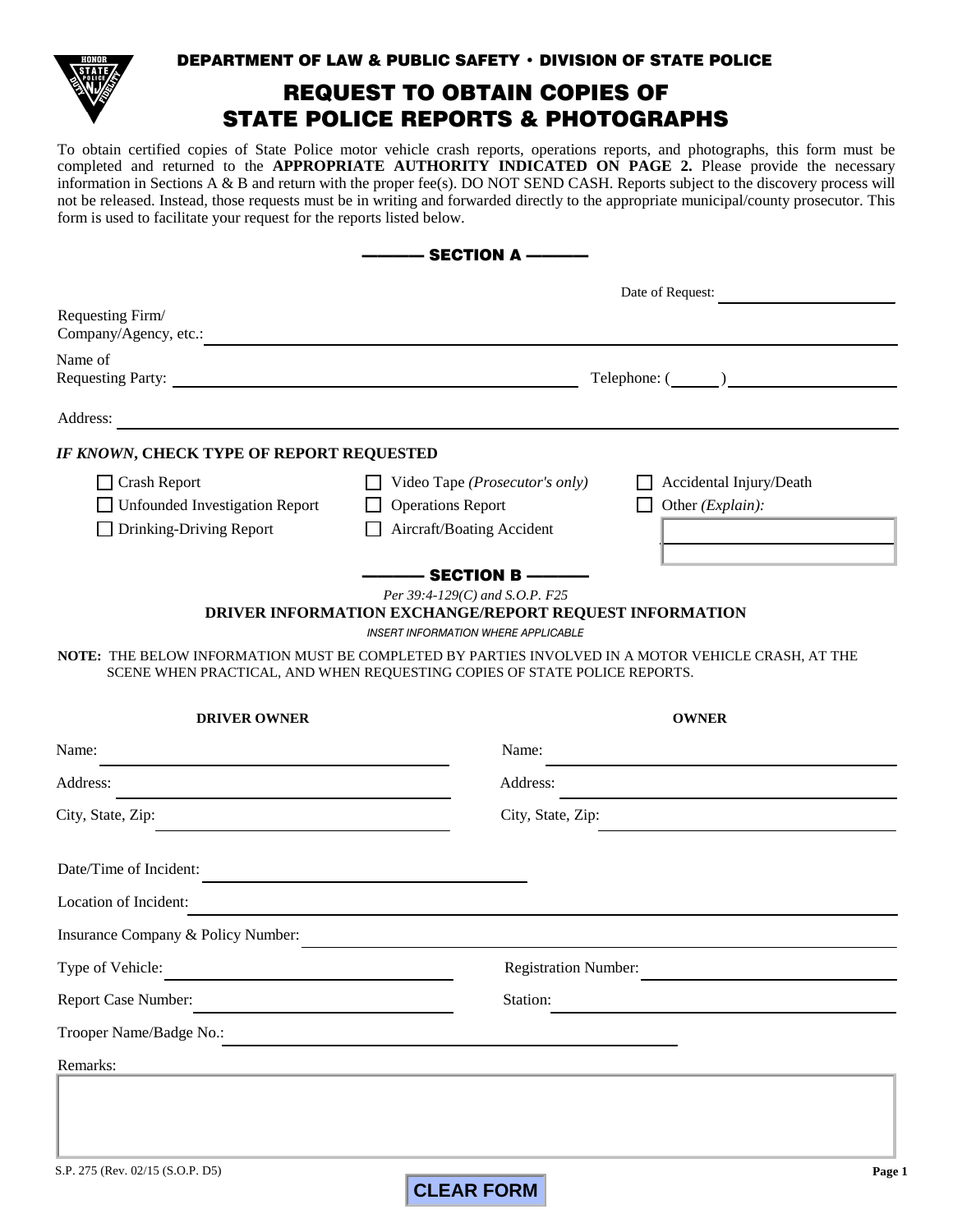

### DEPARTMENT OF LAW & PUBLIC SAFETY • DIVISION OF STATE POLICE

# REQUEST TO OBTAIN COPIES OF STATE POLICE REPORTS & PHOTOGRAPHS

To obtain certified copies of State Police motor vehicle crash reports, operations reports, and photographs, this form must be completed and returned to the **APPROPRIATE AUTHORITY INDICATED ON PAGE 2.** Please provide the necessary information in Sections A & B and return with the proper fee(s). DO NOT SEND CASH. Reports subject to the discovery process will not be released. Instead, those requests must be in writing and forwarded directly to the appropriate municipal/county prosecutor. This form is used to facilitate your request for the reports listed below.

| ——— SECTION A –                                                                                    |                                                                                                                                                                                                                                         |                                                                                                                      |
|----------------------------------------------------------------------------------------------------|-----------------------------------------------------------------------------------------------------------------------------------------------------------------------------------------------------------------------------------------|----------------------------------------------------------------------------------------------------------------------|
|                                                                                                    | Date of Request:                                                                                                                                                                                                                        |                                                                                                                      |
| Requesting Firm/                                                                                   |                                                                                                                                                                                                                                         |                                                                                                                      |
| Name of                                                                                            | $\text{Telephone: } (\_\_\_\_)\_\_\_\_\_\_$                                                                                                                                                                                             |                                                                                                                      |
| Address:                                                                                           |                                                                                                                                                                                                                                         |                                                                                                                      |
| IF KNOWN, CHECK TYPE OF REPORT REQUESTED                                                           |                                                                                                                                                                                                                                         |                                                                                                                      |
| $\Box$ Crash Report                                                                                | Video Tape ( <i>Prosecutor's only</i> )                                                                                                                                                                                                 | Accidental Injury/Death                                                                                              |
| <b>Unfounded Investigation Report</b>                                                              | <b>Operations Report</b><br>Other (Explain):                                                                                                                                                                                            |                                                                                                                      |
| Drinking-Driving Report                                                                            | Aircraft/Boating Accident                                                                                                                                                                                                               | the control of the control of the control of the control of                                                          |
| NOTE: THE BELOW INFORMATION MUST BE COMPLETED BY PARTIES INVOLVED IN A MOTOR VEHICLE CRASH, AT THE | —— SECTION B ———<br>Per 39:4-129(C) and S.O.P. F25<br>DRIVER INFORMATION EXCHANGE/REPORT REQUEST INFORMATION<br><b>INSERT INFORMATION WHERE APPLICABLE</b><br>SCENE WHEN PRACTICAL, AND WHEN REQUESTING COPIES OF STATE POLICE REPORTS. |                                                                                                                      |
| <b>DRIVER OWNER</b>                                                                                |                                                                                                                                                                                                                                         | <b>OWNER</b>                                                                                                         |
| Name:                                                                                              | Name:                                                                                                                                                                                                                                   |                                                                                                                      |
| Address:                                                                                           | Address:                                                                                                                                                                                                                                | <u> 1989 - Johann Harry Barn, mars ar breist fan de Amerikaansk kommunent fan de Amerikaanske kommunent fan de A</u> |
| City, State, Zip:                                                                                  | City, State, Zip:                                                                                                                                                                                                                       |                                                                                                                      |
| Date/Time of Incident:                                                                             |                                                                                                                                                                                                                                         |                                                                                                                      |
| Location of Incident:                                                                              |                                                                                                                                                                                                                                         |                                                                                                                      |
| Insurance Company & Policy Number:                                                                 |                                                                                                                                                                                                                                         |                                                                                                                      |
| Type of Vehicle:                                                                                   | Registration Number:                                                                                                                                                                                                                    |                                                                                                                      |
| Report Case Number:                                                                                | Station:                                                                                                                                                                                                                                |                                                                                                                      |
| Trooper Name/Badge No.:                                                                            |                                                                                                                                                                                                                                         |                                                                                                                      |
| Remarks:                                                                                           |                                                                                                                                                                                                                                         |                                                                                                                      |
|                                                                                                    |                                                                                                                                                                                                                                         |                                                                                                                      |
|                                                                                                    |                                                                                                                                                                                                                                         |                                                                                                                      |
| S.P. 275 (Rev. 02/15 (S.O.P. D5)                                                                   |                                                                                                                                                                                                                                         | Page 1                                                                                                               |
|                                                                                                    | <b>CLEAR FORM</b>                                                                                                                                                                                                                       |                                                                                                                      |